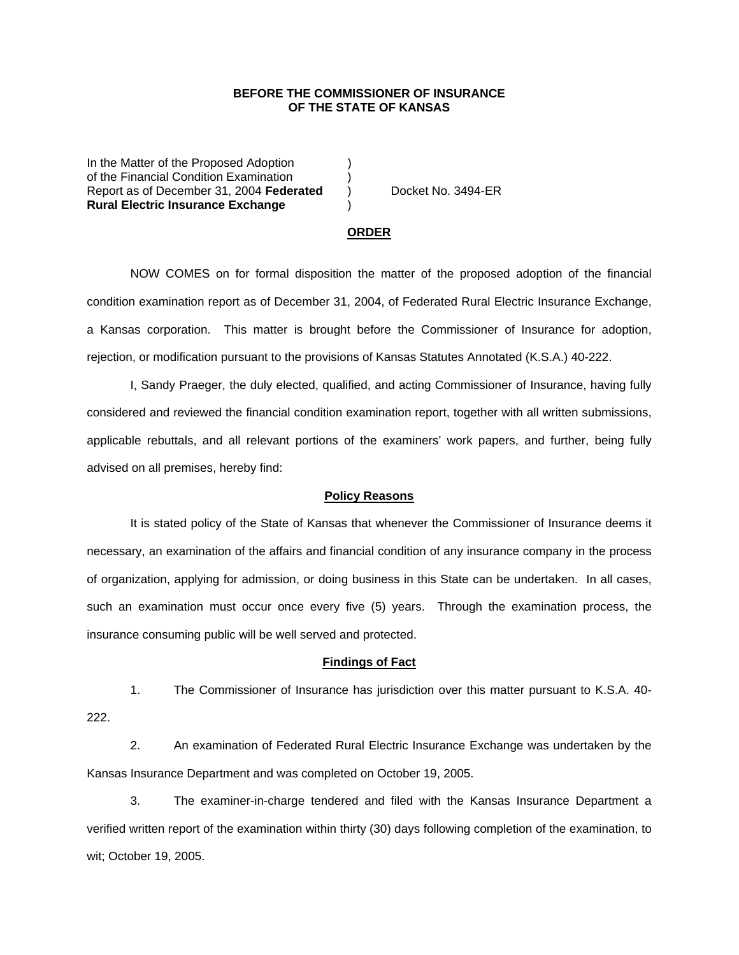# **BEFORE THE COMMISSIONER OF INSURANCE OF THE STATE OF KANSAS**

In the Matter of the Proposed Adoption of the Financial Condition Examination ) Report as of December 31, 2004 **Federated** ) Docket No. 3494-ER **Rural Electric Insurance Exchange** )

#### **ORDER**

 NOW COMES on for formal disposition the matter of the proposed adoption of the financial condition examination report as of December 31, 2004, of Federated Rural Electric Insurance Exchange, a Kansas corporation. This matter is brought before the Commissioner of Insurance for adoption, rejection, or modification pursuant to the provisions of Kansas Statutes Annotated (K.S.A.) 40-222.

 I, Sandy Praeger, the duly elected, qualified, and acting Commissioner of Insurance, having fully considered and reviewed the financial condition examination report, together with all written submissions, applicable rebuttals, and all relevant portions of the examiners' work papers, and further, being fully advised on all premises, hereby find:

### **Policy Reasons**

 It is stated policy of the State of Kansas that whenever the Commissioner of Insurance deems it necessary, an examination of the affairs and financial condition of any insurance company in the process of organization, applying for admission, or doing business in this State can be undertaken. In all cases, such an examination must occur once every five (5) years. Through the examination process, the insurance consuming public will be well served and protected.

## **Findings of Fact**

 1. The Commissioner of Insurance has jurisdiction over this matter pursuant to K.S.A. 40- 222.

 2. An examination of Federated Rural Electric Insurance Exchange was undertaken by the Kansas Insurance Department and was completed on October 19, 2005.

 3. The examiner-in-charge tendered and filed with the Kansas Insurance Department a verified written report of the examination within thirty (30) days following completion of the examination, to wit; October 19, 2005.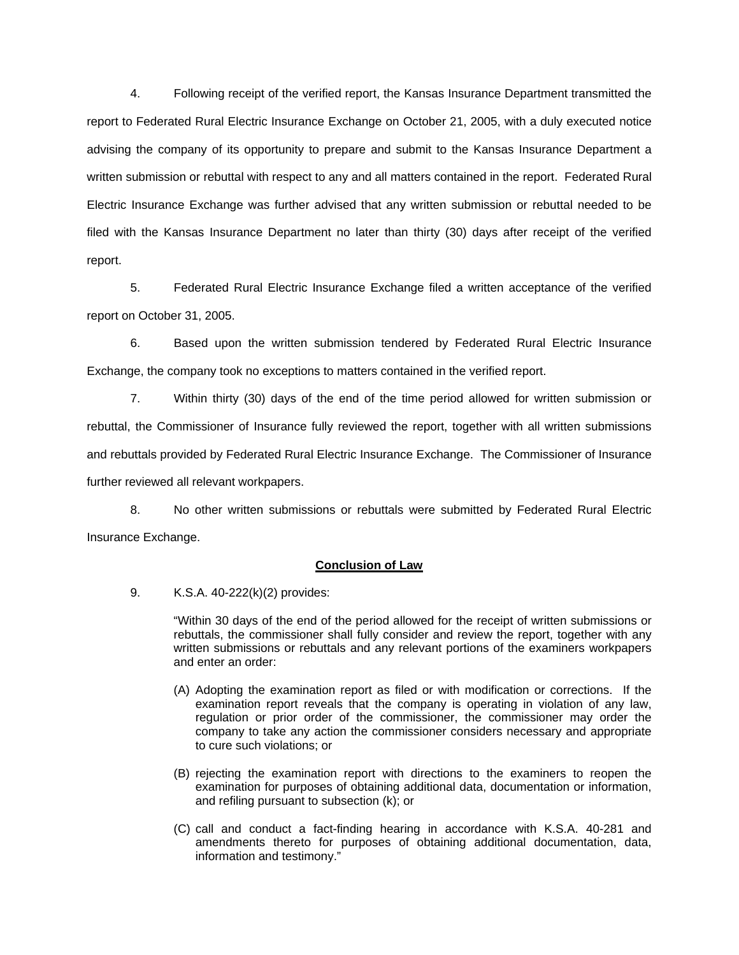4. Following receipt of the verified report, the Kansas Insurance Department transmitted the report to Federated Rural Electric Insurance Exchange on October 21, 2005, with a duly executed notice advising the company of its opportunity to prepare and submit to the Kansas Insurance Department a written submission or rebuttal with respect to any and all matters contained in the report. Federated Rural Electric Insurance Exchange was further advised that any written submission or rebuttal needed to be filed with the Kansas Insurance Department no later than thirty (30) days after receipt of the verified report.

 5. Federated Rural Electric Insurance Exchange filed a written acceptance of the verified report on October 31, 2005.

 6. Based upon the written submission tendered by Federated Rural Electric Insurance Exchange, the company took no exceptions to matters contained in the verified report.

 7. Within thirty (30) days of the end of the time period allowed for written submission or rebuttal, the Commissioner of Insurance fully reviewed the report, together with all written submissions and rebuttals provided by Federated Rural Electric Insurance Exchange. The Commissioner of Insurance further reviewed all relevant workpapers.

 8. No other written submissions or rebuttals were submitted by Federated Rural Electric Insurance Exchange.

# **Conclusion of Law**

9. K.S.A. 40-222(k)(2) provides:

"Within 30 days of the end of the period allowed for the receipt of written submissions or rebuttals, the commissioner shall fully consider and review the report, together with any written submissions or rebuttals and any relevant portions of the examiners workpapers and enter an order:

- (A) Adopting the examination report as filed or with modification or corrections. If the examination report reveals that the company is operating in violation of any law, regulation or prior order of the commissioner, the commissioner may order the company to take any action the commissioner considers necessary and appropriate to cure such violations; or
- (B) rejecting the examination report with directions to the examiners to reopen the examination for purposes of obtaining additional data, documentation or information, and refiling pursuant to subsection (k); or
- (C) call and conduct a fact-finding hearing in accordance with K.S.A. 40-281 and amendments thereto for purposes of obtaining additional documentation, data, information and testimony."